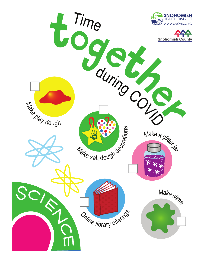